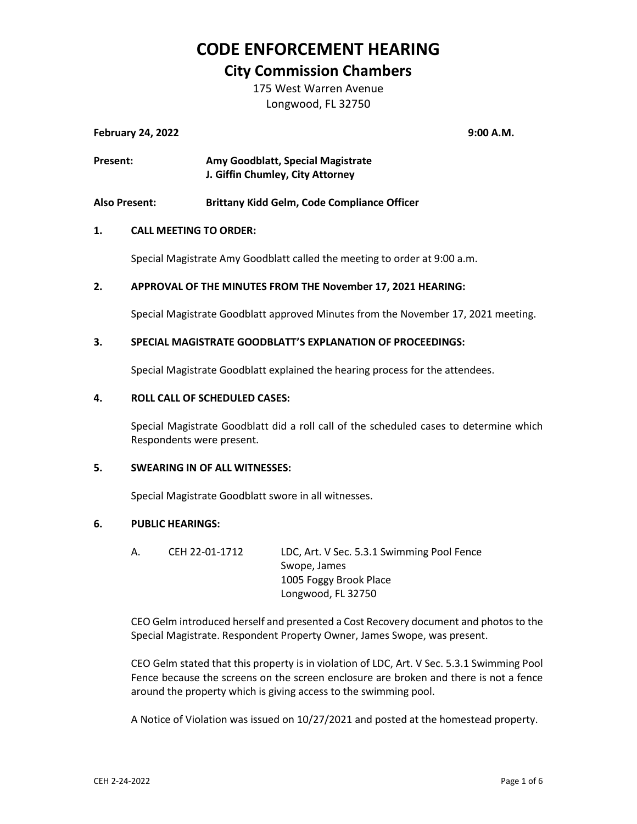### **CODE ENFORCEMENT HEARING**

### **City Commission Chambers**

175 West Warren Avenue Longwood, FL 32750

### **February 24, 2022 9:00 A.M.**

| Present: | Amy Goodblatt, Special Magistrate |
|----------|-----------------------------------|
|          | J. Giffin Chumley, City Attorney  |

**Also Present: Brittany Kidd Gelm, Code Compliance Officer**

### **1. CALL MEETING TO ORDER:**

Special Magistrate Amy Goodblatt called the meeting to order at 9:00 a.m.

### **2. APPROVAL OF THE MINUTES FROM THE November 17, 2021 HEARING:**

Special Magistrate Goodblatt approved Minutes from the November 17, 2021 meeting.

### **3. SPECIAL MAGISTRATE GOODBLATT'S EXPLANATION OF PROCEEDINGS:**

Special Magistrate Goodblatt explained the hearing process for the attendees.

#### **4. ROLL CALL OF SCHEDULED CASES:**

Special Magistrate Goodblatt did a roll call of the scheduled cases to determine which Respondents were present.

#### **5. SWEARING IN OF ALL WITNESSES:**

Special Magistrate Goodblatt swore in all witnesses.

#### **6. PUBLIC HEARINGS:**

| CEH 22-01-1712 | LDC, Art. V Sec. 5.3.1 Swimming Pool Fence |
|----------------|--------------------------------------------|
|                | Swope, James                               |
|                | 1005 Foggy Brook Place                     |
|                | Longwood, FL 32750                         |
|                |                                            |

CEO Gelm introduced herself and presented a Cost Recovery document and photos to the Special Magistrate. Respondent Property Owner, James Swope, was present.

CEO Gelm stated that this property is in violation of LDC, Art. V Sec. 5.3.1 Swimming Pool Fence because the screens on the screen enclosure are broken and there is not a fence around the property which is giving access to the swimming pool.

A Notice of Violation was issued on 10/27/2021 and posted at the homestead property.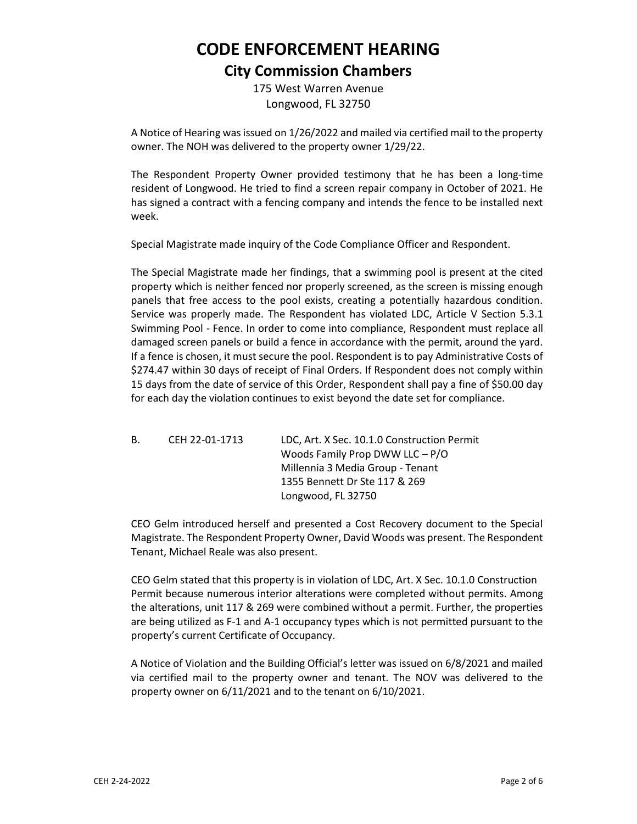## **CODE ENFORCEMENT HEARING City Commission Chambers**

175 West Warren Avenue Longwood, FL 32750

A Notice of Hearing was issued on 1/26/2022 and mailed via certified mail to the property owner. The NOH was delivered to the property owner 1/29/22.

The Respondent Property Owner provided testimony that he has been a long-time resident of Longwood. He tried to find a screen repair company in October of 2021. He has signed a contract with a fencing company and intends the fence to be installed next week.

Special Magistrate made inquiry of the Code Compliance Officer and Respondent.

The Special Magistrate made her findings, that a swimming pool is present at the cited property which is neither fenced nor properly screened, as the screen is missing enough panels that free access to the pool exists, creating a potentially hazardous condition. Service was properly made. The Respondent has violated LDC, Article V Section 5.3.1 Swimming Pool - Fence. In order to come into compliance, Respondent must replace all damaged screen panels or build a fence in accordance with the permit, around the yard. If a fence is chosen, it must secure the pool. Respondent is to pay Administrative Costs of \$274.47 within 30 days of receipt of Final Orders. If Respondent does not comply within 15 days from the date of service of this Order, Respondent shall pay a fine of \$50.00 day for each day the violation continues to exist beyond the date set for compliance.

B. CEH 22-01-1713 LDC, Art. X Sec. 10.1.0 Construction Permit Woods Family Prop DWW LLC – P/O Millennia 3 Media Group - Tenant 1355 Bennett Dr Ste 117 & 269 Longwood, FL 32750

CEO Gelm introduced herself and presented a Cost Recovery document to the Special Magistrate. The Respondent Property Owner, David Woods was present. The Respondent Tenant, Michael Reale was also present.

CEO Gelm stated that this property is in violation of LDC, Art. X Sec. 10.1.0 Construction Permit because numerous interior alterations were completed without permits. Among the alterations, unit 117 & 269 were combined without a permit. Further, the properties are being utilized as F-1 and A-1 occupancy types which is not permitted pursuant to the property's current Certificate of Occupancy.

A Notice of Violation and the Building Official's letter was issued on 6/8/2021 and mailed via certified mail to the property owner and tenant. The NOV was delivered to the property owner on 6/11/2021 and to the tenant on 6/10/2021.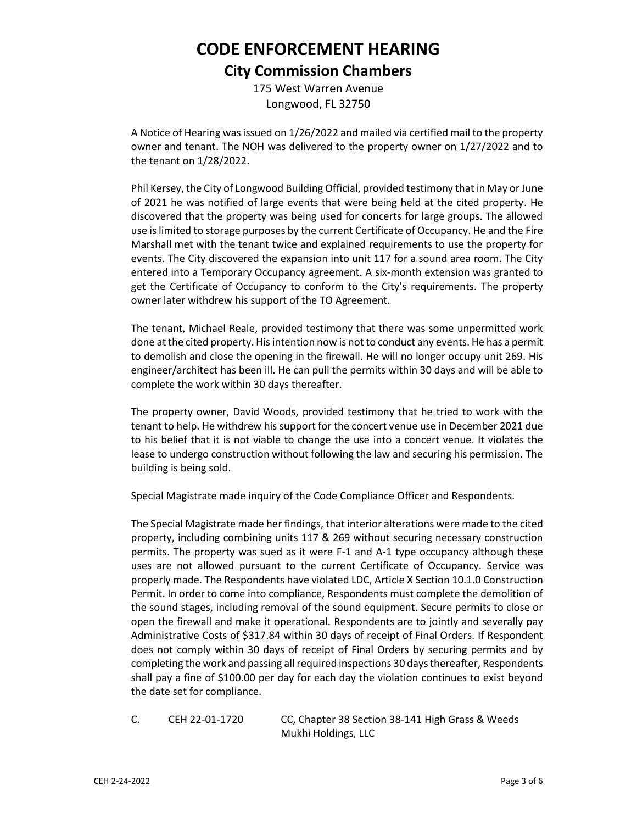## **CODE ENFORCEMENT HEARING City Commission Chambers**

175 West Warren Avenue Longwood, FL 32750

A Notice of Hearing was issued on 1/26/2022 and mailed via certified mail to the property owner and tenant. The NOH was delivered to the property owner on 1/27/2022 and to the tenant on 1/28/2022.

Phil Kersey, the City of Longwood Building Official, provided testimony that in May or June of 2021 he was notified of large events that were being held at the cited property. He discovered that the property was being used for concerts for large groups. The allowed use is limited to storage purposes by the current Certificate of Occupancy. He and the Fire Marshall met with the tenant twice and explained requirements to use the property for events. The City discovered the expansion into unit 117 for a sound area room. The City entered into a Temporary Occupancy agreement. A six-month extension was granted to get the Certificate of Occupancy to conform to the City's requirements. The property owner later withdrew his support of the TO Agreement.

The tenant, Michael Reale, provided testimony that there was some unpermitted work done at the cited property. His intention now is not to conduct any events. He has a permit to demolish and close the opening in the firewall. He will no longer occupy unit 269. His engineer/architect has been ill. He can pull the permits within 30 days and will be able to complete the work within 30 days thereafter.

The property owner, David Woods, provided testimony that he tried to work with the tenant to help. He withdrew his support for the concert venue use in December 2021 due to his belief that it is not viable to change the use into a concert venue. It violates the lease to undergo construction without following the law and securing his permission. The building is being sold.

Special Magistrate made inquiry of the Code Compliance Officer and Respondents.

The Special Magistrate made her findings, that interior alterations were made to the cited property, including combining units 117 & 269 without securing necessary construction permits. The property was sued as it were F-1 and A-1 type occupancy although these uses are not allowed pursuant to the current Certificate of Occupancy. Service was properly made. The Respondents have violated LDC, Article X Section 10.1.0 Construction Permit. In order to come into compliance, Respondents must complete the demolition of the sound stages, including removal of the sound equipment. Secure permits to close or open the firewall and make it operational. Respondents are to jointly and severally pay Administrative Costs of \$317.84 within 30 days of receipt of Final Orders. If Respondent does not comply within 30 days of receipt of Final Orders by securing permits and by completing the work and passing all required inspections 30 days thereafter, Respondents shall pay a fine of \$100.00 per day for each day the violation continues to exist beyond the date set for compliance.

C. CEH 22-01-1720 CC, Chapter 38 Section 38-141 High Grass & Weeds Mukhi Holdings, LLC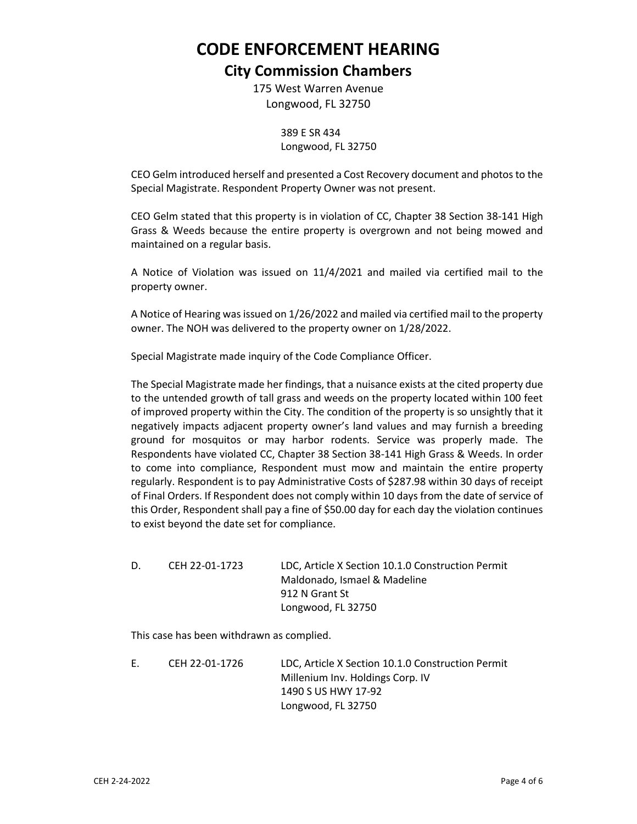# **CODE ENFORCEMENT HEARING**

### **City Commission Chambers**

175 West Warren Avenue Longwood, FL 32750

> 389 E SR 434 Longwood, FL 32750

CEO Gelm introduced herself and presented a Cost Recovery document and photos to the Special Magistrate. Respondent Property Owner was not present.

CEO Gelm stated that this property is in violation of CC, Chapter 38 Section 38-141 High Grass & Weeds because the entire property is overgrown and not being mowed and maintained on a regular basis.

A Notice of Violation was issued on 11/4/2021 and mailed via certified mail to the property owner.

A Notice of Hearing was issued on 1/26/2022 and mailed via certified mail to the property owner. The NOH was delivered to the property owner on 1/28/2022.

Special Magistrate made inquiry of the Code Compliance Officer.

The Special Magistrate made her findings, that a nuisance exists at the cited property due to the untended growth of tall grass and weeds on the property located within 100 feet of improved property within the City. The condition of the property is so unsightly that it negatively impacts adjacent property owner's land values and may furnish a breeding ground for mosquitos or may harbor rodents. Service was properly made. The Respondents have violated CC, Chapter 38 Section 38-141 High Grass & Weeds. In order to come into compliance, Respondent must mow and maintain the entire property regularly. Respondent is to pay Administrative Costs of \$287.98 within 30 days of receipt of Final Orders. If Respondent does not comply within 10 days from the date of service of this Order, Respondent shall pay a fine of \$50.00 day for each day the violation continues to exist beyond the date set for compliance.

D. CEH 22-01-1723 LDC, Article X Section 10.1.0 Construction Permit Maldonado, Ismael & Madeline 912 N Grant St Longwood, FL 32750

This case has been withdrawn as complied.

E. CEH 22-01-1726 LDC, Article X Section 10.1.0 Construction Permit Millenium Inv. Holdings Corp. IV 1490 S US HWY 17-92 Longwood, FL 32750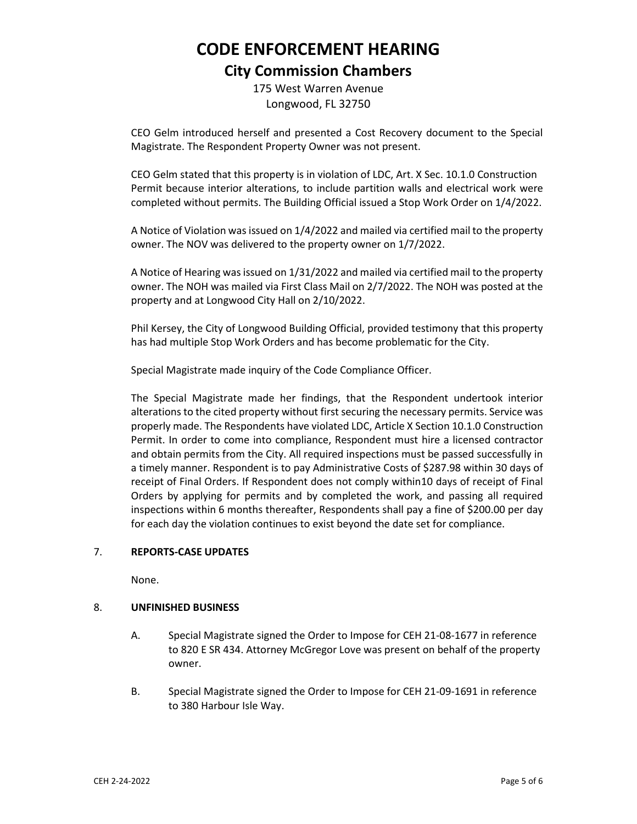## **CODE ENFORCEMENT HEARING City Commission Chambers**

175 West Warren Avenue Longwood, FL 32750

CEO Gelm introduced herself and presented a Cost Recovery document to the Special Magistrate. The Respondent Property Owner was not present.

CEO Gelm stated that this property is in violation of LDC, Art. X Sec. 10.1.0 Construction Permit because interior alterations, to include partition walls and electrical work were completed without permits. The Building Official issued a Stop Work Order on 1/4/2022.

A Notice of Violation was issued on 1/4/2022 and mailed via certified mail to the property owner. The NOV was delivered to the property owner on 1/7/2022.

A Notice of Hearing was issued on 1/31/2022 and mailed via certified mail to the property owner. The NOH was mailed via First Class Mail on 2/7/2022. The NOH was posted at the property and at Longwood City Hall on 2/10/2022.

Phil Kersey, the City of Longwood Building Official, provided testimony that this property has had multiple Stop Work Orders and has become problematic for the City.

Special Magistrate made inquiry of the Code Compliance Officer.

The Special Magistrate made her findings, that the Respondent undertook interior alterations to the cited property without first securing the necessary permits. Service was properly made. The Respondents have violated LDC, Article X Section 10.1.0 Construction Permit. In order to come into compliance, Respondent must hire a licensed contractor and obtain permits from the City. All required inspections must be passed successfully in a timely manner. Respondent is to pay Administrative Costs of \$287.98 within 30 days of receipt of Final Orders. If Respondent does not comply within10 days of receipt of Final Orders by applying for permits and by completed the work, and passing all required inspections within 6 months thereafter, Respondents shall pay a fine of \$200.00 per day for each day the violation continues to exist beyond the date set for compliance.

### 7. **REPORTS-CASE UPDATES**

None.

#### 8. **UNFINISHED BUSINESS**

- A. Special Magistrate signed the Order to Impose for CEH 21-08-1677 in reference to 820 E SR 434. Attorney McGregor Love was present on behalf of the property owner.
- B. Special Magistrate signed the Order to Impose for CEH 21-09-1691 in reference to 380 Harbour Isle Way.